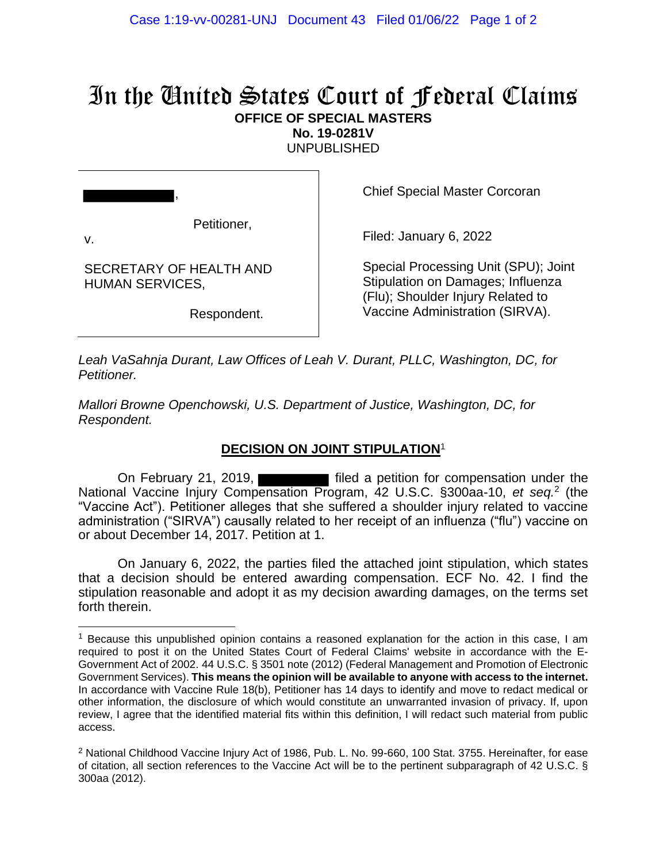## In the United States Court of Federal Claims **OFFICE OF SPECIAL MASTERS**

**No. 19-0281V**

UNPUBLISHED

,

v.

Petitioner,

Chief Special Master Corcoran

Filed: January 6, 2022

SECRETARY OF HEALTH AND HUMAN SERVICES,

Respondent.

Special Processing Unit (SPU); Joint Stipulation on Damages; Influenza (Flu); Shoulder Injury Related to Vaccine Administration (SIRVA).

*Leah VaSahnja Durant, Law Offices of Leah V. Durant, PLLC, Washington, DC, for Petitioner.*

*Mallori Browne Openchowski, U.S. Department of Justice, Washington, DC, for Respondent.*

## **DECISION ON JOINT STIPULATION**<sup>1</sup>

On February 21, 2019, **Filled** a petition for compensation under the National Vaccine Injury Compensation Program, 42 U.S.C. §300aa-10, *et seq.*<sup>2</sup> (the "Vaccine Act"). Petitioner alleges that she suffered a shoulder injury related to vaccine administration ("SIRVA") causally related to her receipt of an influenza ("flu") vaccine on or about December 14, 2017. Petition at 1.

On January 6, 2022, the parties filed the attached joint stipulation, which states that a decision should be entered awarding compensation. ECF No. 42. I find the stipulation reasonable and adopt it as my decision awarding damages, on the terms set forth therein.

<sup>&</sup>lt;sup>1</sup> Because this unpublished opinion contains a reasoned explanation for the action in this case, I am required to post it on the United States Court of Federal Claims' website in accordance with the E-Government Act of 2002. 44 U.S.C. § 3501 note (2012) (Federal Management and Promotion of Electronic Government Services). **This means the opinion will be available to anyone with access to the internet.** In accordance with Vaccine Rule 18(b), Petitioner has 14 days to identify and move to redact medical or other information, the disclosure of which would constitute an unwarranted invasion of privacy. If, upon review, I agree that the identified material fits within this definition, I will redact such material from public access.

<sup>&</sup>lt;sup>2</sup> National Childhood Vaccine Injury Act of 1986, Pub. L. No. 99-660, 100 Stat. 3755. Hereinafter, for ease of citation, all section references to the Vaccine Act will be to the pertinent subparagraph of 42 U.S.C. § 300aa (2012).